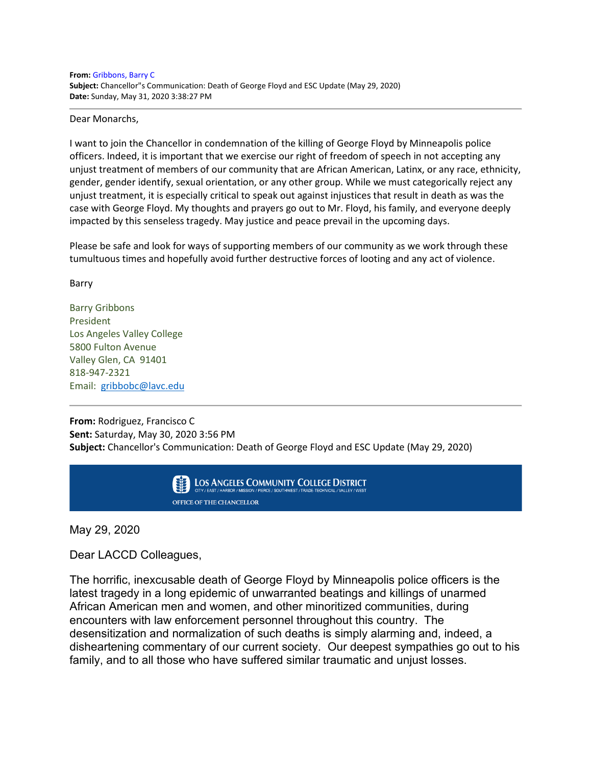**From:** Gribbons, Barry C **Subject:** Chancellor"s Communication: Death of George Floyd and ESC Update (May 29, 2020) **Date:** Sunday, May 31, 2020 3:38:27 PM

Dear Monarchs,

I want to join the Chancellor in condemnation of the killing of George Floyd by Minneapolis police officers. Indeed, it is important that we exercise our right of freedom of speech in not accepting any unjust treatment of members of our community that are African American, Latinx, or any race, ethnicity, gender, gender identify, sexual orientation, or any other group. While we must categorically reject any unjust treatment, it is especially critical to speak out against injustices that result in death as was the case with George Floyd. My thoughts and prayers go out to Mr. Floyd, his family, and everyone deeply impacted by this senseless tragedy. May justice and peace prevail in the upcoming days.

Please be safe and look for ways of supporting members of our community as we work through these tumultuous times and hopefully avoid further destructive forces of looting and any act of violence.

Barry

Barry Gribbons President Los Angeles Valley College 5800 Fulton Avenue Valley Glen, CA 91401 818-947-2321 Email: [gribbobc@lavc.edu](mailto:gribbobc@lavc.edu)

**From:** Rodriguez, Francisco C **Sent:** Saturday, May 30, 2020 3:56 PM **Subject:** Chancellor's Communication: Death of George Floyd and ESC Update (May 29, 2020)



May 29, 2020

Dear LACCD Colleagues,

The horrific, inexcusable death of George Floyd by Minneapolis police officers is the latest tragedy in a long epidemic of unwarranted beatings and killings of unarmed African American men and women, and other minoritized communities, during encounters with law enforcement personnel throughout this country. The desensitization and normalization of such deaths is simply alarming and, indeed, a disheartening commentary of our current society. Our deepest sympathies go out to his family, and to all those who have suffered similar traumatic and unjust losses.